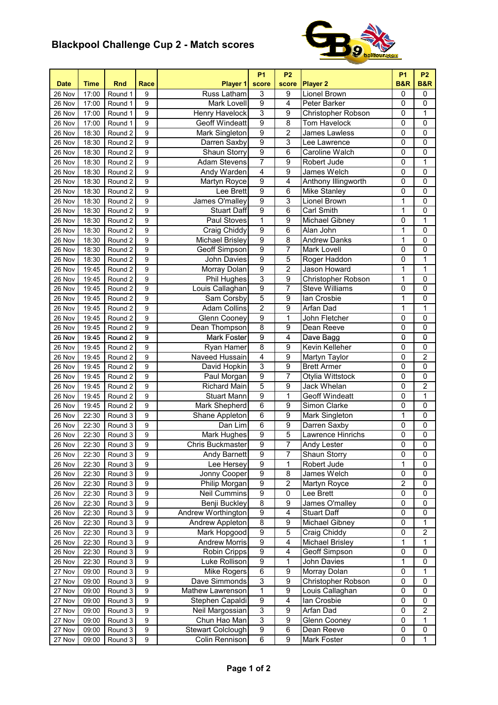## **Blackpool Challenge Cup 2 - Match scores**



| <b>Date</b> | <b>Time</b> | <b>Rnd</b> | Race             | Player 1                           | <b>P1</b><br>score | <b>P2</b><br>score | <b>Player 2</b>        | <b>P1</b><br><b>B&amp;R</b> | <b>P2</b><br><b>B&amp;R</b> |
|-------------|-------------|------------|------------------|------------------------------------|--------------------|--------------------|------------------------|-----------------------------|-----------------------------|
| 26 Nov      | 17:00       | Round 1    | 9                | Russ Latham                        | 3                  | 9                  | Lionel Brown           | $\pmb{0}$                   | $\mathbf 0$                 |
| 26 Nov      | 17:00       | Round 1    | 9                | Mark Lovell                        | $\overline{9}$     | 4                  | Peter Barker           | 0                           | 0                           |
| 26 Nov      | 17:00       | Round 1    | 9                | <b>Henry Havelock</b>              | $\overline{3}$     | 9                  | Christopher Robson     | 0                           | 1                           |
| 26 Nov      | 17:00       | Round 1    | 9                | <b>Geoff Windeatt</b>              | $\overline{9}$     | 8                  | <b>Tom Havelock</b>    | 0                           | $\overline{0}$              |
| 26 Nov      | 18:30       | Round 2    | 9                | Mark Singleton                     | $\overline{9}$     | $\overline{2}$     | James Lawless          | 0                           | $\mathbf 0$                 |
| 26 Nov      | 18:30       | Round 2    | 9                | Darren Saxby                       | $\overline{9}$     | 3                  | Lee Lawrence           | 0                           | $\overline{0}$              |
| 26 Nov      | 18:30       | Round 2    | 9                | Shaun Storry                       | $\overline{9}$     | 6                  | Caroline Walch         | 0                           | $\overline{0}$              |
| 26 Nov      | 18:30       | Round 2    | 9                | <b>Adam Stevens</b>                | $\overline{7}$     | 9                  | Robert Jude            | 0                           | 1                           |
| 26 Nov      | 18:30       | Round 2    | $\overline{9}$   | Andy Warden                        | $\overline{4}$     | 9                  | James Welch            | 0                           | $\overline{0}$              |
| 26 Nov      | 18:30       | Round 2    | $\boldsymbol{9}$ | Martyn Royce                       | $\overline{9}$     | 4                  | Anthony Illingworth    | $\overline{0}$              | $\overline{0}$              |
| 26 Nov      | 18:30       | Round 2    | 9                | Lee Brett                          | $\overline{9}$     | 6                  | <b>Mike Stanley</b>    | $\pmb{0}$                   | $\mathbf 0$                 |
| 26 Nov      | 18:30       | Round 2    | 9                | James O'malley                     | $\overline{9}$     | 3                  | Lionel Brown           | 1                           | $\mathbf 0$                 |
| 26 Nov      | 18:30       | Round 2    | 9                | <b>Stuart Daff</b>                 | $\overline{9}$     | 6                  | <b>Carl Smith</b>      | $\mathbf{1}$                | 0                           |
| 26 Nov      | 18:30       | Round 2    | 9                | Paul Stoves                        | 1                  | 9                  | Michael Gibney         | 0                           | 1                           |
| 26 Nov      | 18:30       | Round 2    | 9                | Craig Chiddy                       | $\overline{9}$     | 6                  | Alan John              | $\mathbf 1$                 | $\mathbf 0$                 |
| 26 Nov      | 18:30       | Round 2    | $\boldsymbol{9}$ | <b>Michael Brisley</b>             | $\overline{9}$     | 8                  | <b>Andrew Danks</b>    | 1                           | $\mathbf 0$                 |
| 26 Nov      | 18:30       | Round 2    | $\boldsymbol{9}$ | Geoff Simpson                      | $\overline{9}$     | 7                  | Mark Lovell            | 0                           | $\mathbf 0$                 |
| 26 Nov      |             | Round 2    | 9                | <b>John Davies</b>                 | $\overline{9}$     | 5                  | Roger Haddon           | $\mathsf 0$                 | 1                           |
| 26 Nov      | 18:30       |            | 9                |                                    | $\overline{9}$     | $\overline{2}$     | <b>Jason Howard</b>    | 1                           | $\mathbf 1$                 |
|             | 19:45       | Round 2    | 9                | Morray Dolan<br><b>Phil Hughes</b> | $\overline{3}$     | $\overline{9}$     | Christopher Robson     | 1                           | $\overline{0}$              |
| 26 Nov      | 19:45       | Round 2    |                  |                                    | $\overline{9}$     | $\overline{7}$     |                        |                             | $\overline{0}$              |
| 26 Nov      | 19:45       | Round 2    | 9                | Louis Callaghan                    | $\overline{5}$     |                    | <b>Steve Williams</b>  | 0                           |                             |
| 26 Nov      | 19:45       | Round 2    | 9                | Sam Corsby                         |                    | 9                  | lan Crosbie            | 1                           | $\mathbf 0$                 |
| 26 Nov      | 19:45       | Round 2    | 9                | <b>Adam Collins</b>                | $\overline{2}$     | 9                  | Arfan Dad              | 1                           | 1                           |
| 26 Nov      | 19:45       | Round 2    | 9                | <b>Glenn Cooney</b>                | $\overline{9}$     | 1                  | John Fletcher          | 0                           | $\mathbf 0$                 |
| 26 Nov      | 19:45       | Round 2    | $\boldsymbol{9}$ | Dean Thompson                      | $\overline{8}$     | 9                  | Dean Reeve             | 0                           | $\overline{0}$              |
| 26 Nov      | 19:45       | Round 2    | $\boldsymbol{9}$ | <b>Mark Foster</b>                 | $\overline{9}$     | $\overline{4}$     | Dave Bagg              | $\overline{0}$              | $\overline{0}$              |
| 26 Nov      | 19:45       | Round 2    | $\boldsymbol{9}$ | Ryan Hamer                         | $\overline{8}$     | 9                  | Kevin Kelleher         | $\pmb{0}$                   | $\pmb{0}$                   |
| 26 Nov      | 19:45       | Round 2    | 9                | Naveed Hussain                     | $\overline{4}$     | 9                  | Martyn Taylor          | 0                           | $\overline{2}$              |
| 26 Nov      | 19:45       | Round 2    | 9                | David Hopkin                       | 3                  | 9                  | <b>Brett Armer</b>     | 0                           | $\mathbf 0$                 |
| 26 Nov      | 19:45       | Round 2    | 9                | Paul Morgan                        | $\overline{9}$     | 7                  | Otylia Wittstock       | 0                           | $\overline{0}$              |
| 26 Nov      | 19:45       | Round 2    | 9                | <b>Richard Main</b>                | 5                  | 9                  | Jack Whelan            | 0                           | 2                           |
| 26 Nov      | 19:45       | Round 2    | 9                | <b>Stuart Mann</b>                 | $\overline{9}$     | 1                  | <b>Geoff Windeatt</b>  | 0                           | 1                           |
| 26 Nov      | 19:45       | Round 2    | $\boldsymbol{9}$ | Mark Shepherd                      | $\overline{6}$     | 9                  | Simon Clarke           | 0                           | $\mathbf 0$                 |
| 26 Nov      | 22:30       | Round 3    | $\boldsymbol{9}$ | Shane Appleton                     | $\overline{6}$     | $\overline{9}$     | Mark Singleton         | 1                           | $\mathbf 0$                 |
| 26 Nov      | 22:30       | Round 3    | $\boldsymbol{9}$ | Dan Lim                            | $\overline{6}$     | $\overline{9}$     | Darren Saxby           | $\overline{0}$              | $\overline{0}$              |
| 26 Nov      | 22:30       | Round 3    | $\boldsymbol{9}$ | Mark Hughes                        | $\overline{9}$     | 5                  | Lawrence Hinrichs      | 0                           | 0                           |
| 26 Nov      | 22:30       | Round 3    | $\overline{9}$   | Chris Buckmaster                   | $\overline{9}$     | $\overline{7}$     | Andy Lester            | $\overline{0}$              | $\overline{0}$              |
| 26 Nov      | 22:30       | Round 3    | 9                | Andy Barnett                       | 9                  | 7                  | Shaun Storry           | 0                           | 0                           |
| 26 Nov      | 22:30       | Round 3    | 9                | Lee Hersey                         | 9                  | 1                  | Robert Jude            | 1                           | 0                           |
| 26 Nov      | 22:30       | Round 3    | 9                | Jonny Cooper                       | $\overline{9}$     | 8                  | James Welch            | 0                           | 0                           |
| 26 Nov      | 22:30       | Round 3    | 9                | Philip Morgan                      | $\overline{9}$     | 2                  | Martyn Royce           | $\overline{2}$              | 0                           |
| 26 Nov      | 22:30       | Round 3    | $\boldsymbol{9}$ | Neil Cummins                       | $\overline{9}$     | 0                  | Lee Brett              | $\pmb{0}$                   | $\pmb{0}$                   |
| 26 Nov      | 22:30       | Round 3    | 9                | <b>Benji Buckley</b>               | $\overline{8}$     | $\overline{9}$     | James O'malley         | $\overline{0}$              | 0                           |
| 26 Nov      | 22:30       | Round 3    | $\boldsymbol{9}$ | <b>Andrew Worthington</b>          | $\overline{9}$     | 4                  | <b>Stuart Daff</b>     | $\overline{0}$              | $\overline{0}$              |
| 26 Nov      | 22:30       | Round 3    | 9                | Andrew Appleton                    | $\overline{8}$     | 9                  | Michael Gibney         | 0                           | 1                           |
| 26 Nov      | 22:30       | Round 3    | 9                | Mark Hopgood                       | $\overline{9}$     | 5                  | Craig Chiddy           | 0                           | 2                           |
| 26 Nov      | 22:30       | Round 3    | 9                | <b>Andrew Morris</b>               | $\overline{9}$     | 4                  | <b>Michael Brisley</b> | 1                           | 1                           |
| 26 Nov      | 22:30       | Round 3    | 9                | Robin Cripps                       | 9                  | 4                  | Geoff Simpson          | 0                           | 0                           |
| 26 Nov      | 22:30       | Round 3    | 9                | Luke Rollison                      | 9                  | 1                  | John Davies            | 1                           | 0                           |
| 27 Nov      | 09:00       | Round 3    | 9                | Mike Rogers                        | 6                  | 9                  | Morray Dolan           | 0                           | 1                           |
| 27 Nov      | 09:00       | Round 3    | 9                | Dave Simmonds                      | 3                  | $\overline{9}$     | Christopher Robson     | 0                           | 0                           |
| 27 Nov      | 09:00       | Round 3    | $\boldsymbol{9}$ | Mathew Lawrenson                   | 1                  | 9                  | Louis Callaghan        | $\pmb{0}$                   | 0                           |
| 27 Nov      | 09:00       | Round 3    | $\boldsymbol{9}$ | Stephen Capaldi                    | 9                  | 4                  | lan Crosbie            | 0                           | 0                           |
| 27 Nov      | 09:00       | Round 3    | 9                | Neil Margossian                    | $\overline{3}$     | 9                  | Arfan Dad              | 0                           | 2                           |
| 27 Nov      | 09:00       | Round 3    | 9                | Chun Hao Man                       | $\overline{3}$     | 9                  | Glenn Cooney           | 0                           | 1                           |
| 27 Nov      | 09:00       | Round 3    | 9                | Stewart Colclough                  | $\overline{9}$     | 6                  | Dean Reeve             | 0                           | 0                           |
| 27 Nov      | 09:00       | Round 3    | 9                | Colin Rennison                     | 6                  | 9                  | Mark Foster            | $\pmb{0}$                   | 1                           |